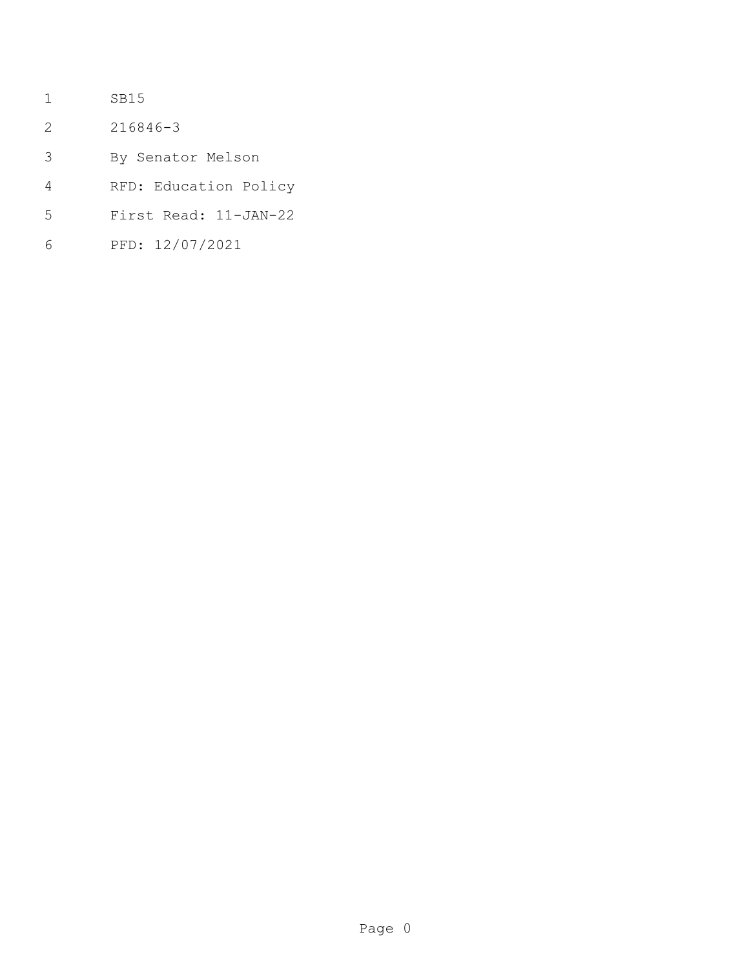- SB15
- 216846-3
- By Senator Melson
- RFD: Education Policy
- First Read: 11-JAN-22
- PFD: 12/07/2021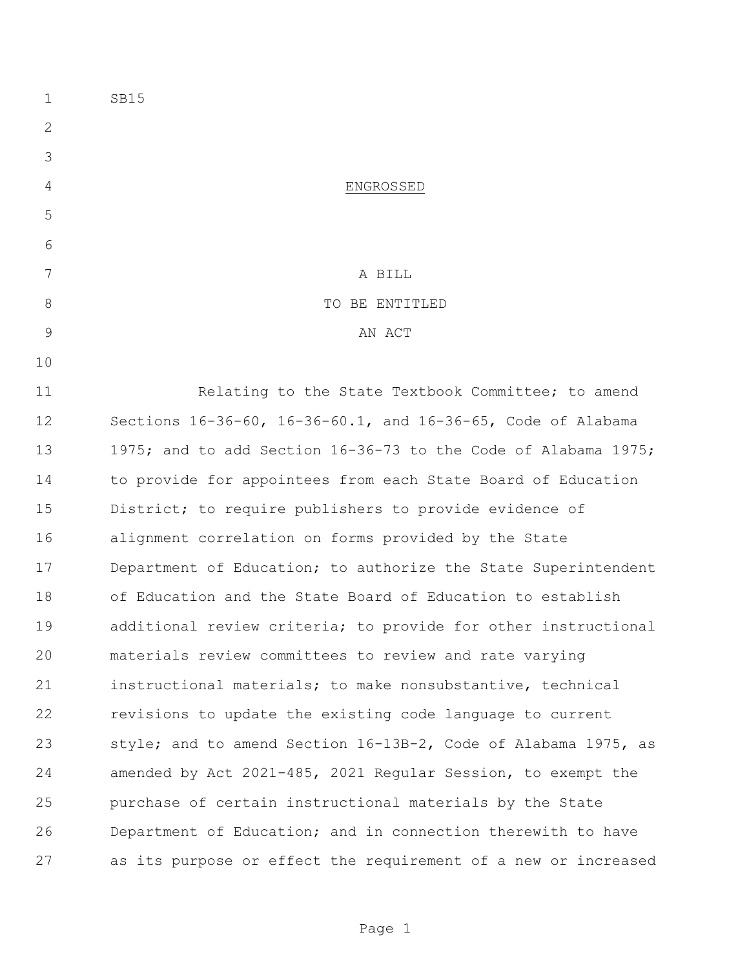SB15 ENGROSSED A BILL 8 STRIP TO BE ENTITLED 9 AN ACT 11 Relating to the State Textbook Committee; to amend Sections 16-36-60, 16-36-60.1, and 16-36-65, Code of Alabama 1975; and to add Section 16-36-73 to the Code of Alabama 1975; to provide for appointees from each State Board of Education District; to require publishers to provide evidence of alignment correlation on forms provided by the State 17 Department of Education; to authorize the State Superintendent of Education and the State Board of Education to establish additional review criteria; to provide for other instructional materials review committees to review and rate varying instructional materials; to make nonsubstantive, technical revisions to update the existing code language to current style; and to amend Section 16-13B-2, Code of Alabama 1975, as amended by Act 2021-485, 2021 Regular Session, to exempt the purchase of certain instructional materials by the State Department of Education; and in connection therewith to have as its purpose or effect the requirement of a new or increased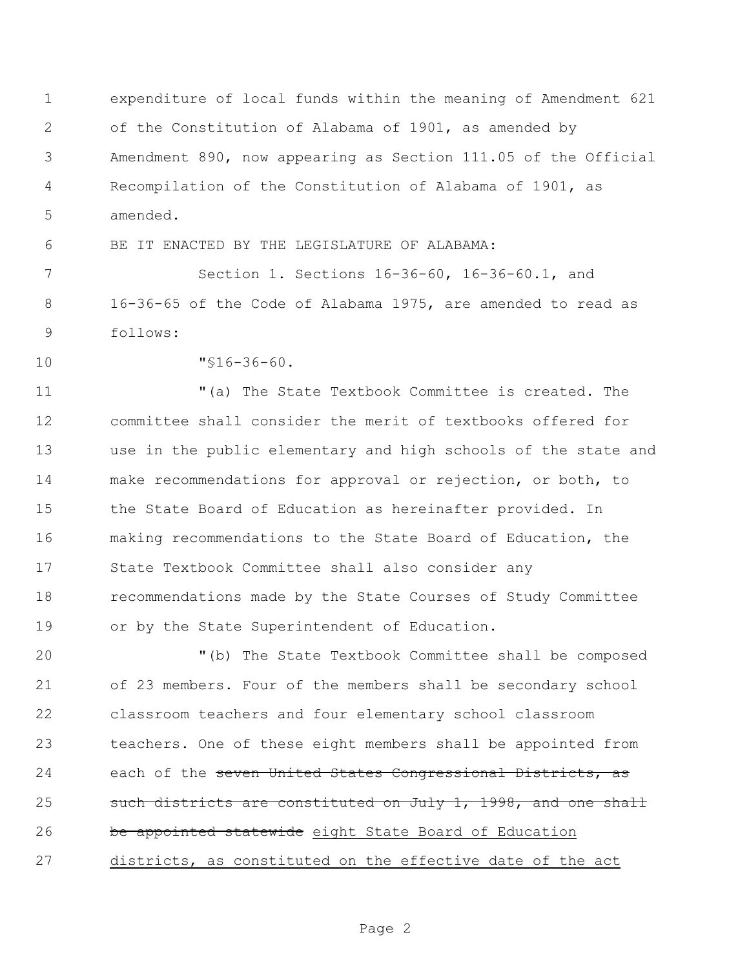expenditure of local funds within the meaning of Amendment 621 of the Constitution of Alabama of 1901, as amended by Amendment 890, now appearing as Section 111.05 of the Official Recompilation of the Constitution of Alabama of 1901, as amended.

BE IT ENACTED BY THE LEGISLATURE OF ALABAMA:

 Section 1. Sections 16-36-60, 16-36-60.1, and 16-36-65 of the Code of Alabama 1975, are amended to read as follows:

"§16-36-60.

 "(a) The State Textbook Committee is created. The committee shall consider the merit of textbooks offered for use in the public elementary and high schools of the state and make recommendations for approval or rejection, or both, to 15 the State Board of Education as hereinafter provided. In making recommendations to the State Board of Education, the State Textbook Committee shall also consider any recommendations made by the State Courses of Study Committee or by the State Superintendent of Education.

 "(b) The State Textbook Committee shall be composed of 23 members. Four of the members shall be secondary school classroom teachers and four elementary school classroom teachers. One of these eight members shall be appointed from 24 each of the seven United States Congressional Districts, as 25 such districts are constituted on July 1, 1998, and one shall 26 be appointed statewide eight State Board of Education districts, as constituted on the effective date of the act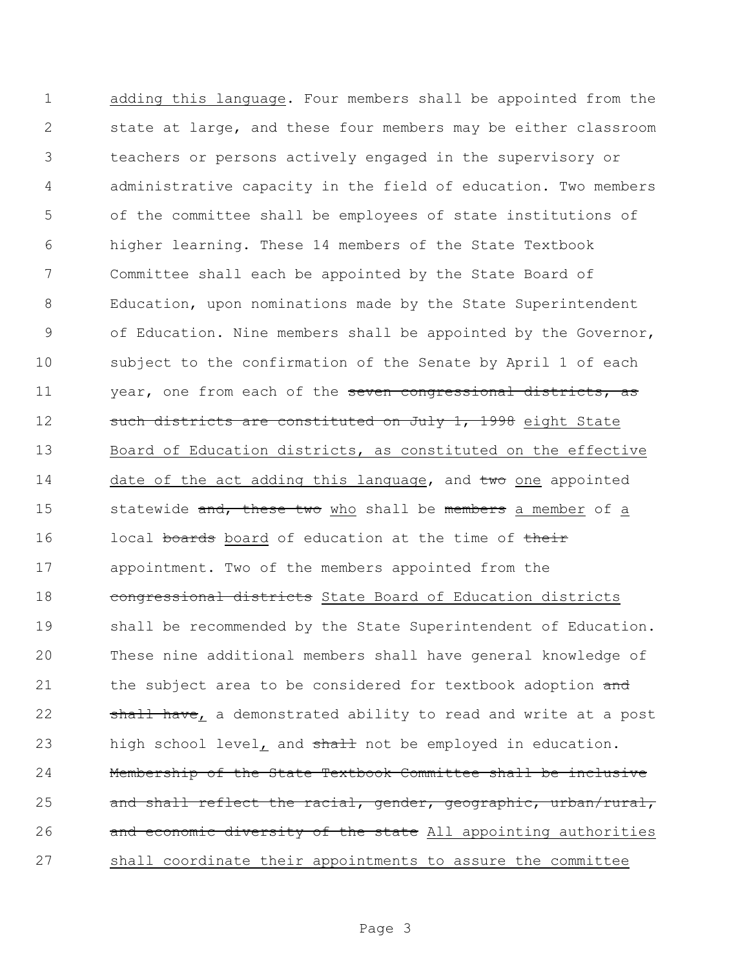adding this language. Four members shall be appointed from the state at large, and these four members may be either classroom teachers or persons actively engaged in the supervisory or administrative capacity in the field of education. Two members of the committee shall be employees of state institutions of higher learning. These 14 members of the State Textbook Committee shall each be appointed by the State Board of Education, upon nominations made by the State Superintendent of Education. Nine members shall be appointed by the Governor, subject to the confirmation of the Senate by April 1 of each 11 year, one from each of the seven congressional districts, as 12 such districts are constituted on July 1, 1998 eight State Board of Education districts, as constituted on the effective 14 date of the act adding this language, and two one appointed 15 statewide and, these two who shall be members a member of a 16 local boards board of education at the time of their appointment. Two of the members appointed from the **congressional districts** State Board of Education districts shall be recommended by the State Superintendent of Education. These nine additional members shall have general knowledge of 21 the subject area to be considered for textbook adoption and 22 shall have, a demonstrated ability to read and write at a post 23 high school level<sub>L</sub> and shall not be employed in education. Membership of the State Textbook Committee shall be inclusive 25 and shall reflect the racial, gender, geographic, urban/rural, 26 and economic diversity of the state All appointing authorities shall coordinate their appointments to assure the committee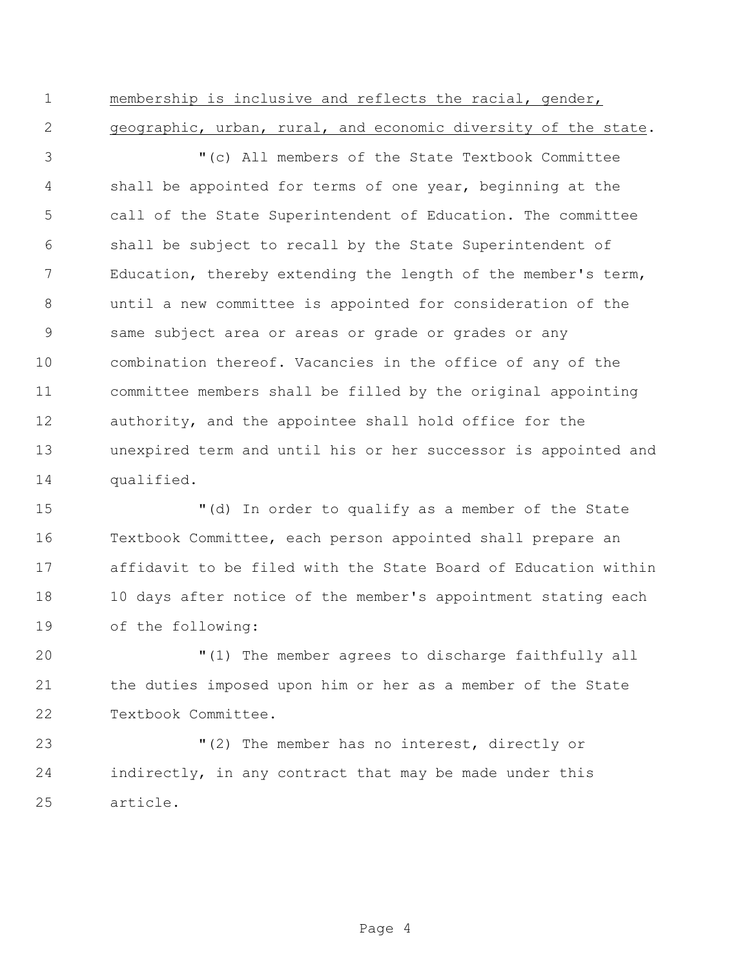membership is inclusive and reflects the racial, gender, geographic, urban, rural, and economic diversity of the state.

 "(c) All members of the State Textbook Committee shall be appointed for terms of one year, beginning at the call of the State Superintendent of Education. The committee shall be subject to recall by the State Superintendent of Education, thereby extending the length of the member's term, until a new committee is appointed for consideration of the same subject area or areas or grade or grades or any combination thereof. Vacancies in the office of any of the committee members shall be filled by the original appointing authority, and the appointee shall hold office for the unexpired term and until his or her successor is appointed and qualified.

 "(d) In order to qualify as a member of the State Textbook Committee, each person appointed shall prepare an affidavit to be filed with the State Board of Education within 10 days after notice of the member's appointment stating each of the following:

 "(1) The member agrees to discharge faithfully all the duties imposed upon him or her as a member of the State Textbook Committee.

 "(2) The member has no interest, directly or indirectly, in any contract that may be made under this article.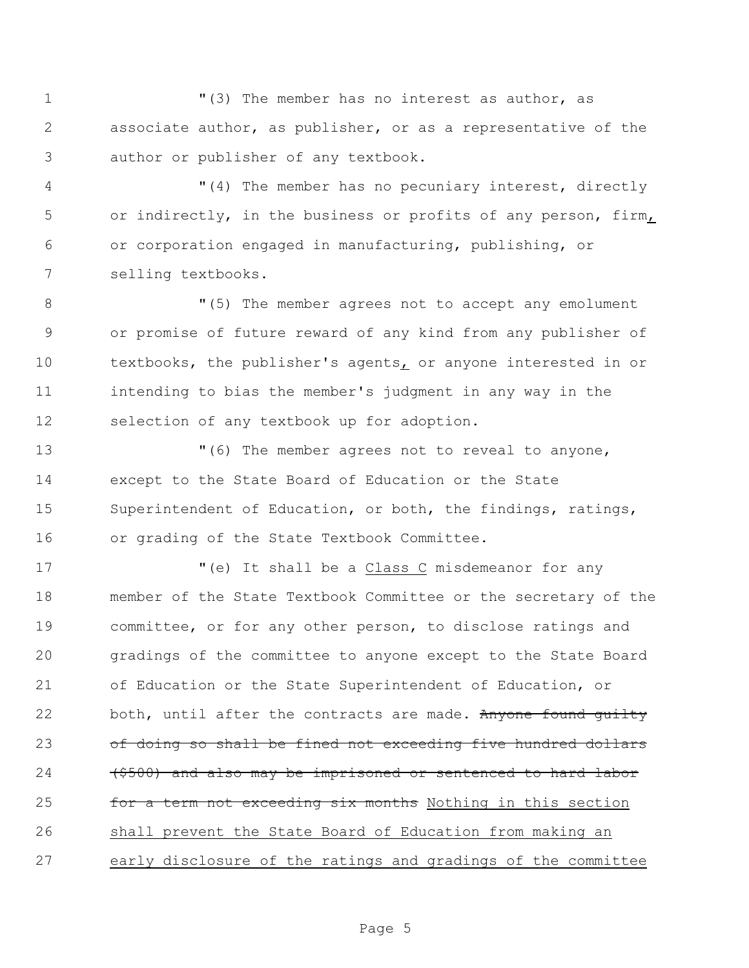"(3) The member has no interest as author, as associate author, as publisher, or as a representative of the author or publisher of any textbook.

 "(4) The member has no pecuniary interest, directly or indirectly, in the business or profits of any person, firm, or corporation engaged in manufacturing, publishing, or selling textbooks.

8 The member agrees not to accept any emolument or promise of future reward of any kind from any publisher of 10 textbooks, the publisher's agents, or anyone interested in or intending to bias the member's judgment in any way in the selection of any textbook up for adoption.

 $(6)$  The member agrees not to reveal to anyone, except to the State Board of Education or the State Superintendent of Education, or both, the findings, ratings, or grading of the State Textbook Committee.

 "(e) It shall be a Class C misdemeanor for any member of the State Textbook Committee or the secretary of the committee, or for any other person, to disclose ratings and gradings of the committee to anyone except to the State Board of Education or the State Superintendent of Education, or 22 both, until after the contracts are made. Anyone found quilty of doing so shall be fined not exceeding five hundred dollars 24 (\$500) and also may be imprisoned or sentenced to hard labor **for a term not exceeding six months** Nothing in this section shall prevent the State Board of Education from making an early disclosure of the ratings and gradings of the committee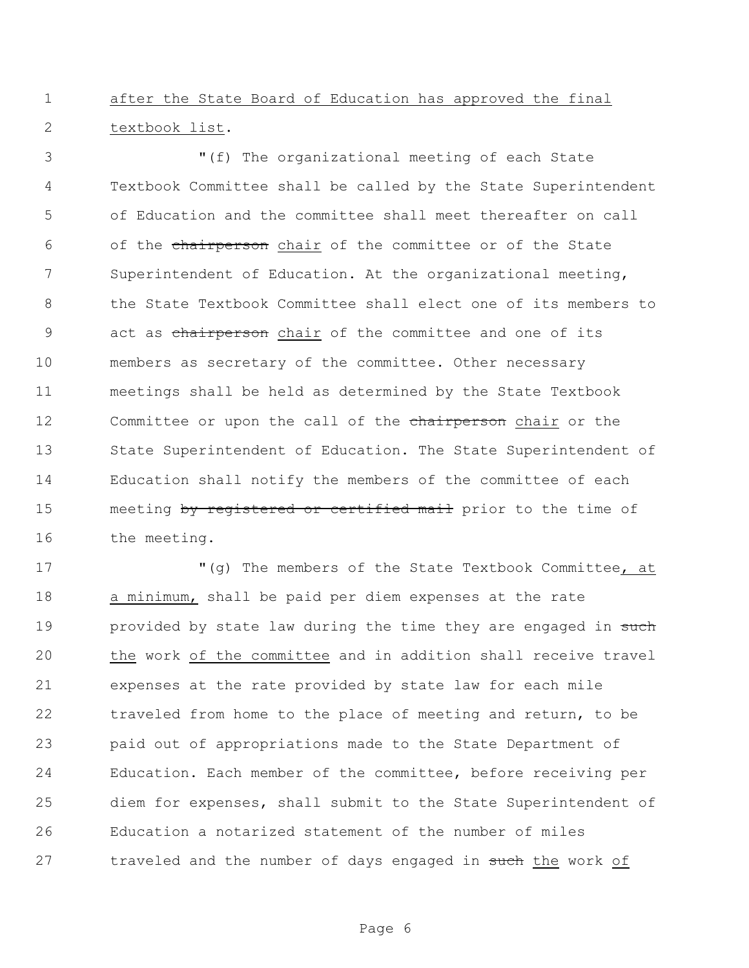after the State Board of Education has approved the final textbook list.

 "(f) The organizational meeting of each State Textbook Committee shall be called by the State Superintendent of Education and the committee shall meet thereafter on call 6 of the chairperson chair of the committee or of the State Superintendent of Education. At the organizational meeting, the State Textbook Committee shall elect one of its members to 9 act as chairperson chair of the committee and one of its members as secretary of the committee. Other necessary meetings shall be held as determined by the State Textbook 12 Committee or upon the call of the chairperson chair or the State Superintendent of Education. The State Superintendent of Education shall notify the members of the committee of each 15 meeting by registered or certified mail prior to the time of 16 the meeting.

17 The members of the State Textbook Committee, at a minimum, shall be paid per diem expenses at the rate 19 provided by state law during the time they are engaged in such the work of the committee and in addition shall receive travel expenses at the rate provided by state law for each mile traveled from home to the place of meeting and return, to be paid out of appropriations made to the State Department of Education. Each member of the committee, before receiving per diem for expenses, shall submit to the State Superintendent of Education a notarized statement of the number of miles 27 traveled and the number of days engaged in such the work of

Page 6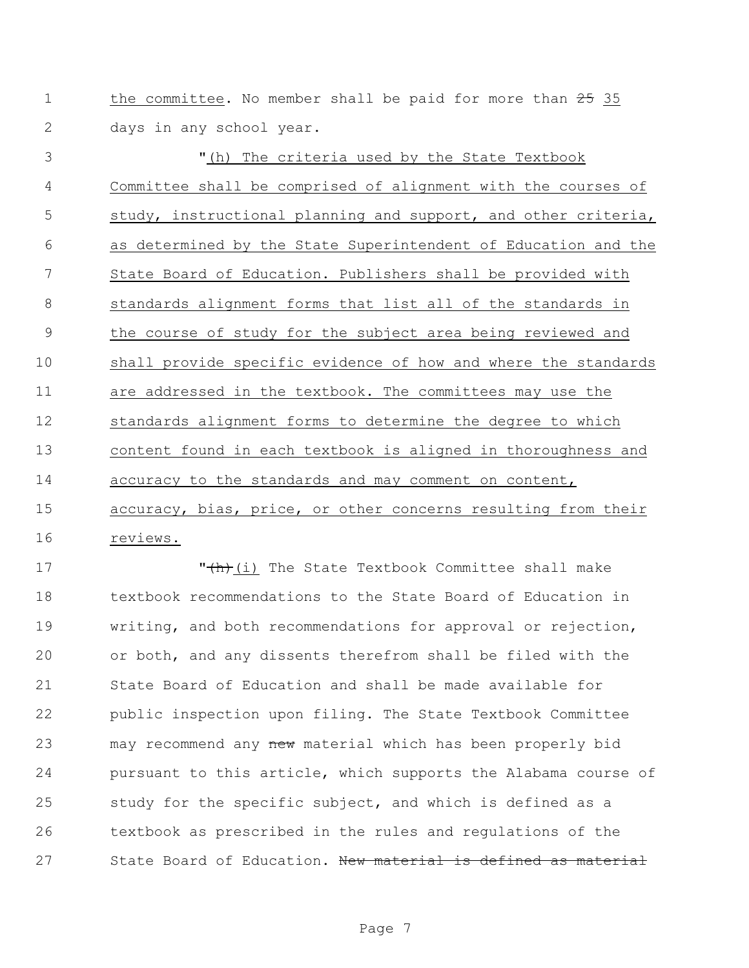1 the committee. No member shall be paid for more than 35 days in any school year.

3 The criteria used by the State Textbook Committee shall be comprised of alignment with the courses of study, instructional planning and support, and other criteria, as determined by the State Superintendent of Education and the State Board of Education. Publishers shall be provided with standards alignment forms that list all of the standards in the course of study for the subject area being reviewed and shall provide specific evidence of how and where the standards are addressed in the textbook. The committees may use the standards alignment forms to determine the degree to which content found in each textbook is aligned in thoroughness and 14 accuracy to the standards and may comment on content, accuracy, bias, price, or other concerns resulting from their reviews.

17 The State Textbook Committee shall make textbook recommendations to the State Board of Education in writing, and both recommendations for approval or rejection, or both, and any dissents therefrom shall be filed with the State Board of Education and shall be made available for public inspection upon filing. The State Textbook Committee 23 may recommend any new material which has been properly bid pursuant to this article, which supports the Alabama course of study for the specific subject, and which is defined as a textbook as prescribed in the rules and regulations of the 27 State Board of Education. New material is defined as material

Page 7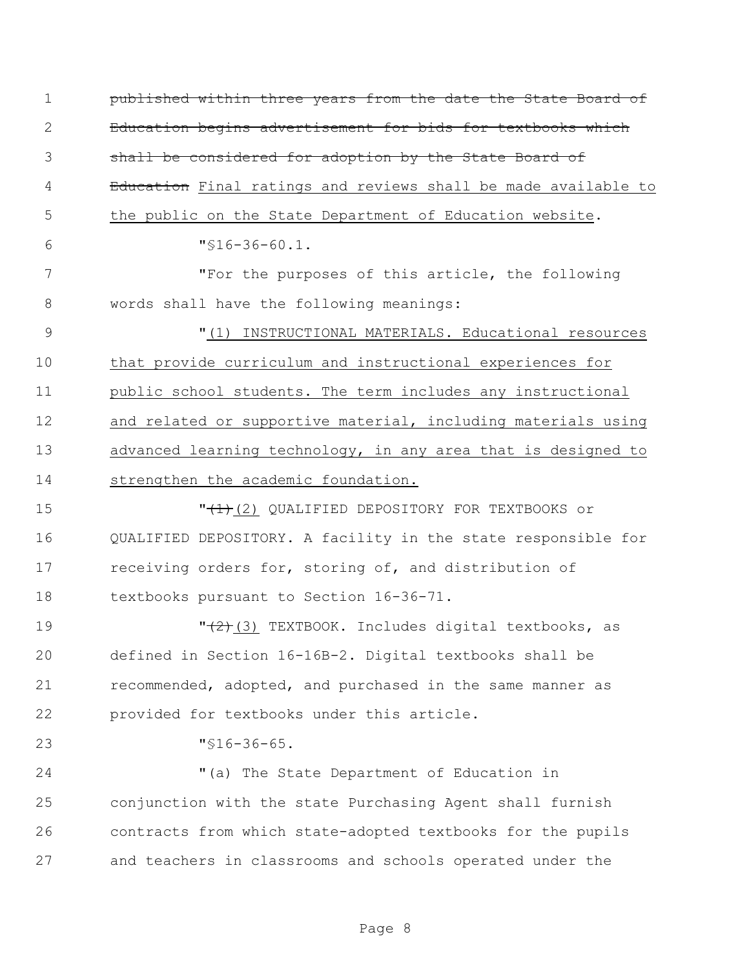published within three years from the date the State Board of Education begins advertisement for bids for textbooks which shall be considered for adoption by the State Board of 4 Bolucation Final ratings and reviews shall be made available to the public on the State Department of Education website. "§16-36-60.1. "For the purposes of this article, the following words shall have the following meanings: "(1) INSTRUCTIONAL MATERIALS. Educational resources that provide curriculum and instructional experiences for public school students. The term includes any instructional 12 and related or supportive material, including materials using advanced learning technology, in any area that is designed to strengthen the academic foundation. "(1)(2) QUALIFIED DEPOSITORY FOR TEXTBOOKS or QUALIFIED DEPOSITORY. A facility in the state responsible for 17 receiving orders for, storing of, and distribution of textbooks pursuant to Section 16-36-71.  $\sqrt{(2+(2+(3)))^2}$  TEXTBOOK. Includes digital textbooks, as defined in Section 16-16B-2. Digital textbooks shall be recommended, adopted, and purchased in the same manner as provided for textbooks under this article. "§16-36-65. 24 "(a) The State Department of Education in conjunction with the state Purchasing Agent shall furnish contracts from which state-adopted textbooks for the pupils and teachers in classrooms and schools operated under the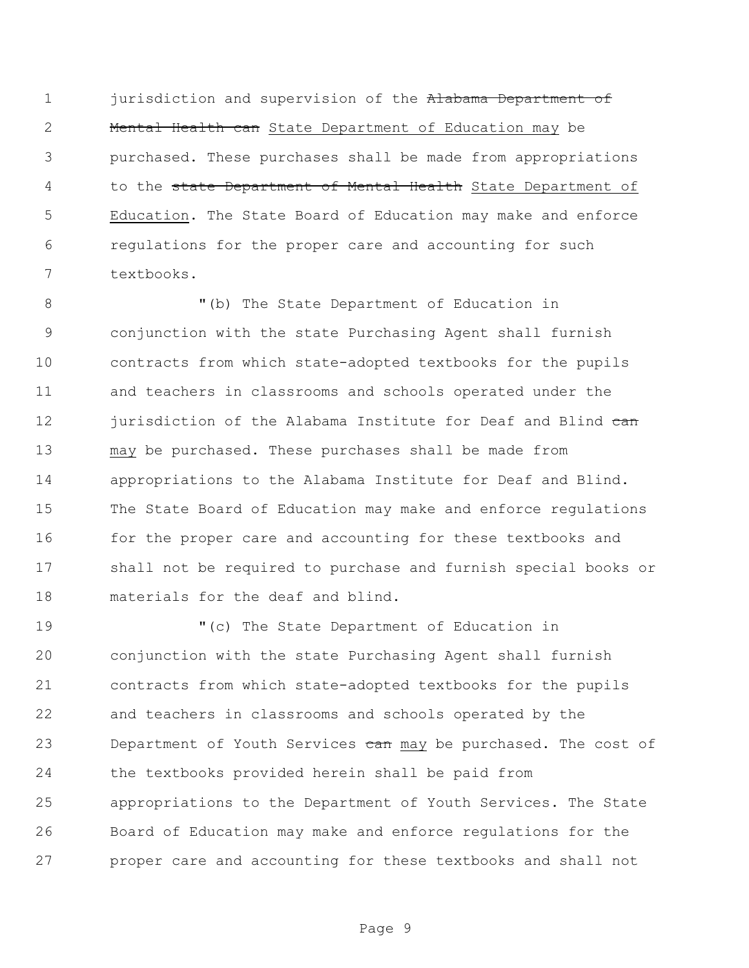1 jurisdiction and supervision of the Alabama Department of 2 Mental Health can State Department of Education may be purchased. These purchases shall be made from appropriations 4 to the state Department of Mental Health State Department of Education. The State Board of Education may make and enforce regulations for the proper care and accounting for such textbooks.

 "(b) The State Department of Education in conjunction with the state Purchasing Agent shall furnish contracts from which state-adopted textbooks for the pupils and teachers in classrooms and schools operated under the 12 jurisdiction of the Alabama Institute for Deaf and Blind can may be purchased. These purchases shall be made from appropriations to the Alabama Institute for Deaf and Blind. The State Board of Education may make and enforce regulations 16 for the proper care and accounting for these textbooks and shall not be required to purchase and furnish special books or materials for the deaf and blind.

 "(c) The State Department of Education in conjunction with the state Purchasing Agent shall furnish contracts from which state-adopted textbooks for the pupils and teachers in classrooms and schools operated by the 23 Department of Youth Services can may be purchased. The cost of the textbooks provided herein shall be paid from appropriations to the Department of Youth Services. The State Board of Education may make and enforce regulations for the proper care and accounting for these textbooks and shall not

Page 9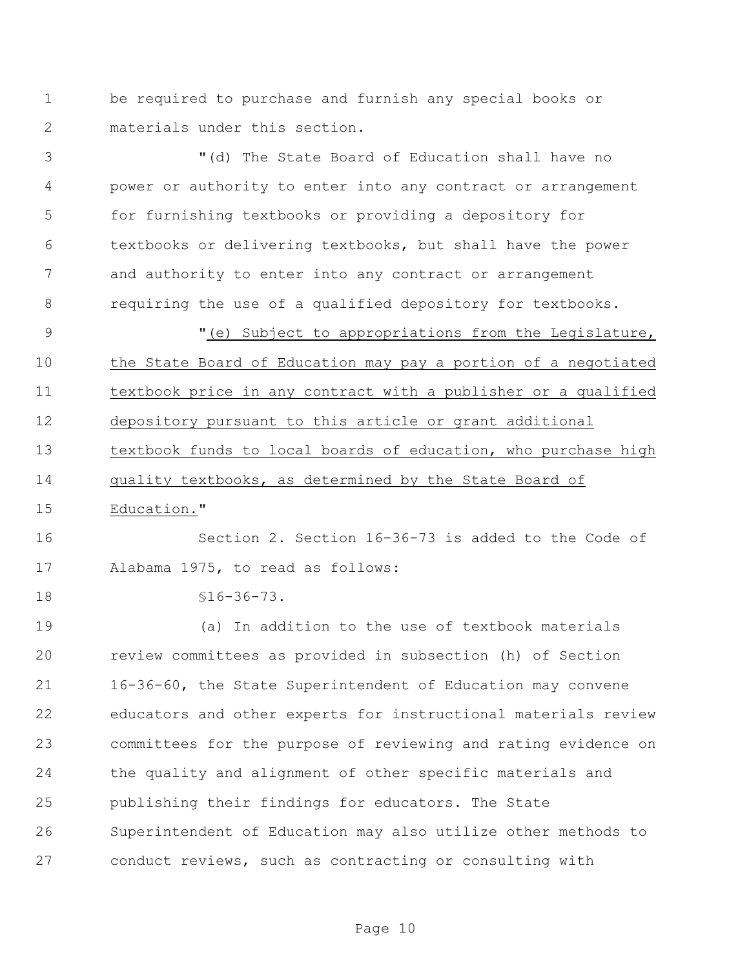be required to purchase and furnish any special books or materials under this section.

 "(d) The State Board of Education shall have no power or authority to enter into any contract or arrangement for furnishing textbooks or providing a depository for textbooks or delivering textbooks, but shall have the power and authority to enter into any contract or arrangement requiring the use of a qualified depository for textbooks.

 "(e) Subject to appropriations from the Legislature, the State Board of Education may pay a portion of a negotiated textbook price in any contract with a publisher or a qualified depository pursuant to this article or grant additional textbook funds to local boards of education, who purchase high quality textbooks, as determined by the State Board of

Education."

 Section 2. Section 16-36-73 is added to the Code of Alabama 1975, to read as follows:

§16-36-73.

 (a) In addition to the use of textbook materials review committees as provided in subsection (h) of Section 16-36-60, the State Superintendent of Education may convene educators and other experts for instructional materials review committees for the purpose of reviewing and rating evidence on the quality and alignment of other specific materials and publishing their findings for educators. The State Superintendent of Education may also utilize other methods to conduct reviews, such as contracting or consulting with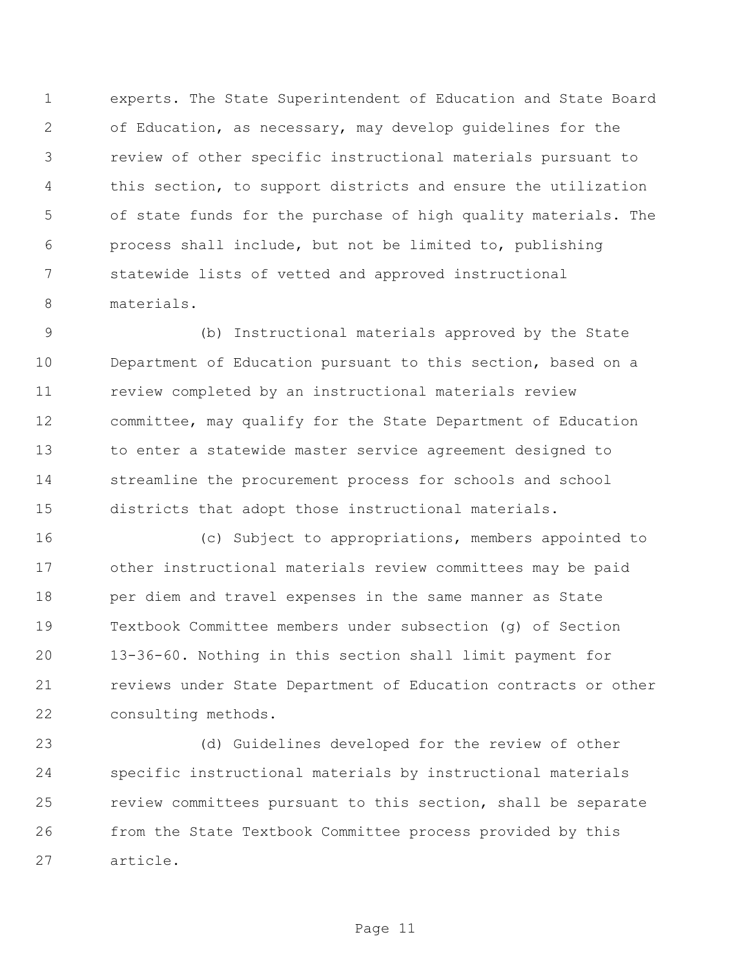experts. The State Superintendent of Education and State Board of Education, as necessary, may develop guidelines for the review of other specific instructional materials pursuant to this section, to support districts and ensure the utilization of state funds for the purchase of high quality materials. The process shall include, but not be limited to, publishing statewide lists of vetted and approved instructional materials.

 (b) Instructional materials approved by the State Department of Education pursuant to this section, based on a review completed by an instructional materials review committee, may qualify for the State Department of Education to enter a statewide master service agreement designed to streamline the procurement process for schools and school districts that adopt those instructional materials.

 (c) Subject to appropriations, members appointed to other instructional materials review committees may be paid per diem and travel expenses in the same manner as State Textbook Committee members under subsection (g) of Section 13-36-60. Nothing in this section shall limit payment for reviews under State Department of Education contracts or other consulting methods.

 (d) Guidelines developed for the review of other specific instructional materials by instructional materials review committees pursuant to this section, shall be separate from the State Textbook Committee process provided by this article.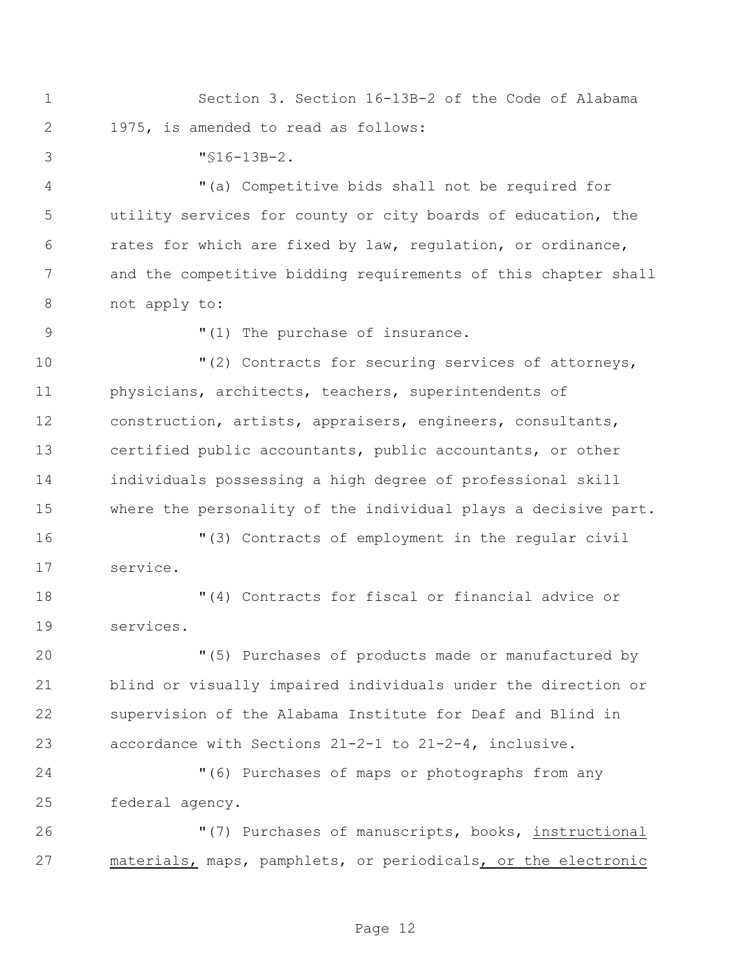Section 3. Section 16-13B-2 of the Code of Alabama 1975, is amended to read as follows:

"§16-13B-2.

 "(a) Competitive bids shall not be required for utility services for county or city boards of education, the rates for which are fixed by law, regulation, or ordinance, and the competitive bidding requirements of this chapter shall not apply to:

9  $(1)$  The purchase of insurance.

 $(2)$  Contracts for securing services of attorneys, physicians, architects, teachers, superintendents of construction, artists, appraisers, engineers, consultants, certified public accountants, public accountants, or other individuals possessing a high degree of professional skill where the personality of the individual plays a decisive part.

 "(3) Contracts of employment in the regular civil service.

 "(4) Contracts for fiscal or financial advice or services.

 "(5) Purchases of products made or manufactured by blind or visually impaired individuals under the direction or supervision of the Alabama Institute for Deaf and Blind in accordance with Sections 21-2-1 to 21-2-4, inclusive.

 "(6) Purchases of maps or photographs from any federal agency.

 "(7) Purchases of manuscripts, books, instructional materials, maps, pamphlets, or periodicals, or the electronic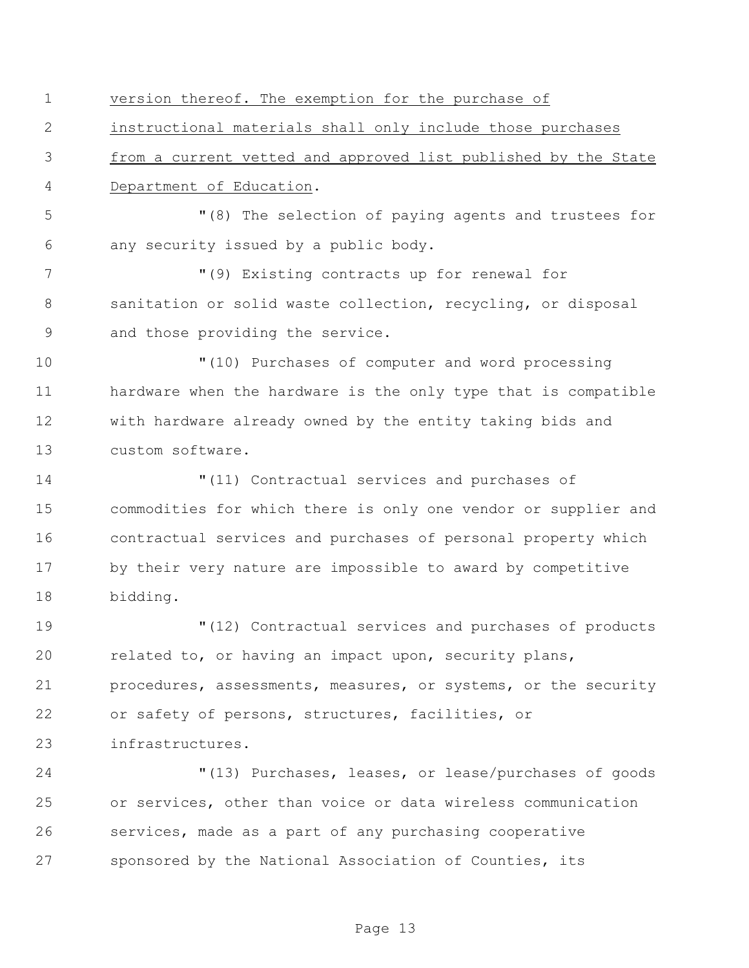version thereof. The exemption for the purchase of

instructional materials shall only include those purchases

 from a current vetted and approved list published by the State Department of Education.

 "(8) The selection of paying agents and trustees for any security issued by a public body.

 "(9) Existing contracts up for renewal for 8 sanitation or solid waste collection, recycling, or disposal and those providing the service.

 "(10) Purchases of computer and word processing hardware when the hardware is the only type that is compatible with hardware already owned by the entity taking bids and custom software.

 "(11) Contractual services and purchases of commodities for which there is only one vendor or supplier and contractual services and purchases of personal property which by their very nature are impossible to award by competitive bidding.

 "(12) Contractual services and purchases of products related to, or having an impact upon, security plans, procedures, assessments, measures, or systems, or the security or safety of persons, structures, facilities, or infrastructures.

 "(13) Purchases, leases, or lease/purchases of goods or services, other than voice or data wireless communication services, made as a part of any purchasing cooperative sponsored by the National Association of Counties, its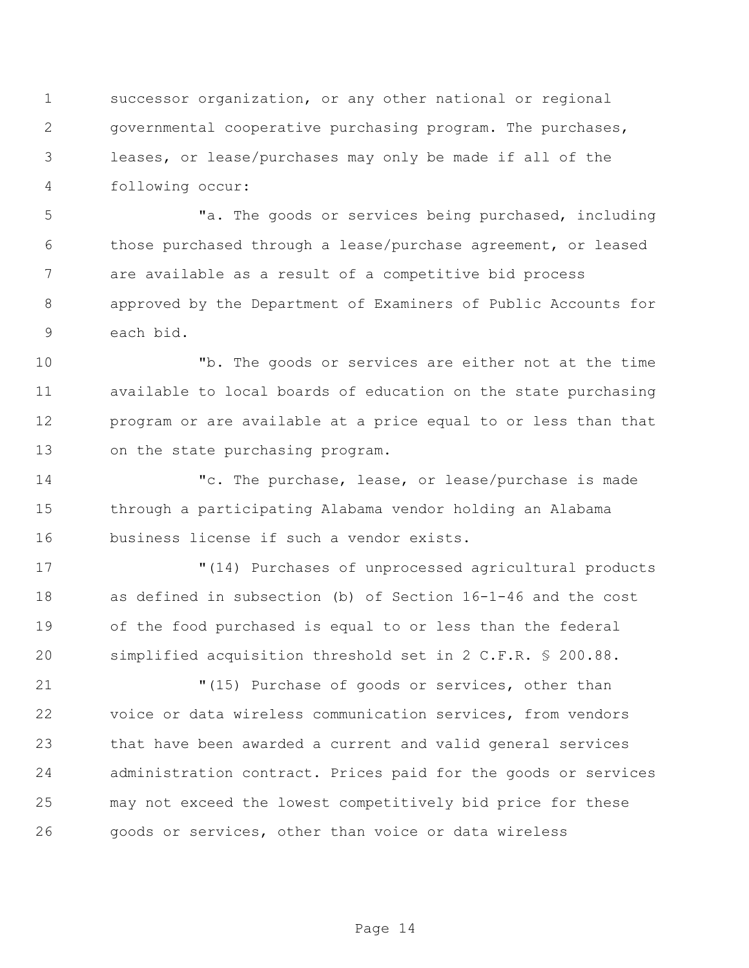successor organization, or any other national or regional governmental cooperative purchasing program. The purchases, leases, or lease/purchases may only be made if all of the following occur:

 "a. The goods or services being purchased, including those purchased through a lease/purchase agreement, or leased are available as a result of a competitive bid process approved by the Department of Examiners of Public Accounts for each bid.

 "b. The goods or services are either not at the time available to local boards of education on the state purchasing program or are available at a price equal to or less than that on the state purchasing program.

 "c. The purchase, lease, or lease/purchase is made through a participating Alabama vendor holding an Alabama business license if such a vendor exists.

 "(14) Purchases of unprocessed agricultural products as defined in subsection (b) of Section 16-1-46 and the cost of the food purchased is equal to or less than the federal simplified acquisition threshold set in 2 C.F.R. § 200.88.

 "(15) Purchase of goods or services, other than voice or data wireless communication services, from vendors that have been awarded a current and valid general services administration contract. Prices paid for the goods or services may not exceed the lowest competitively bid price for these goods or services, other than voice or data wireless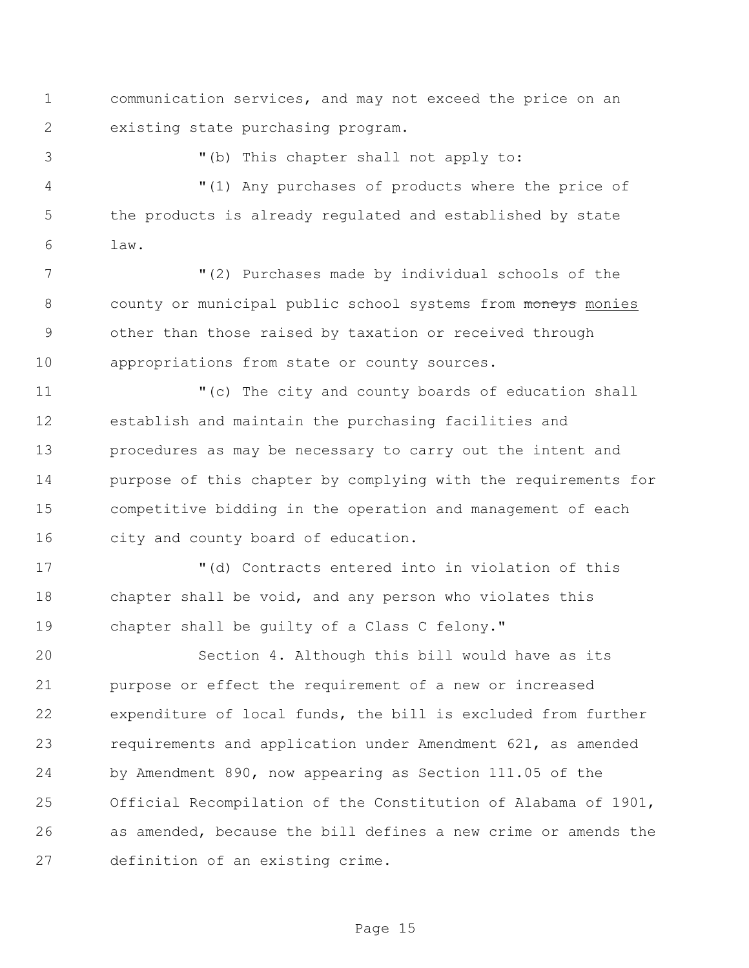communication services, and may not exceed the price on an existing state purchasing program.

"(b) This chapter shall not apply to:

 "(1) Any purchases of products where the price of the products is already regulated and established by state law.

 "(2) Purchases made by individual schools of the 8 county or municipal public school systems from moneys monies other than those raised by taxation or received through appropriations from state or county sources.

 "(c) The city and county boards of education shall establish and maintain the purchasing facilities and procedures as may be necessary to carry out the intent and purpose of this chapter by complying with the requirements for competitive bidding in the operation and management of each city and county board of education.

 "(d) Contracts entered into in violation of this chapter shall be void, and any person who violates this chapter shall be guilty of a Class C felony."

 Section 4. Although this bill would have as its purpose or effect the requirement of a new or increased expenditure of local funds, the bill is excluded from further requirements and application under Amendment 621, as amended by Amendment 890, now appearing as Section 111.05 of the Official Recompilation of the Constitution of Alabama of 1901, as amended, because the bill defines a new crime or amends the definition of an existing crime.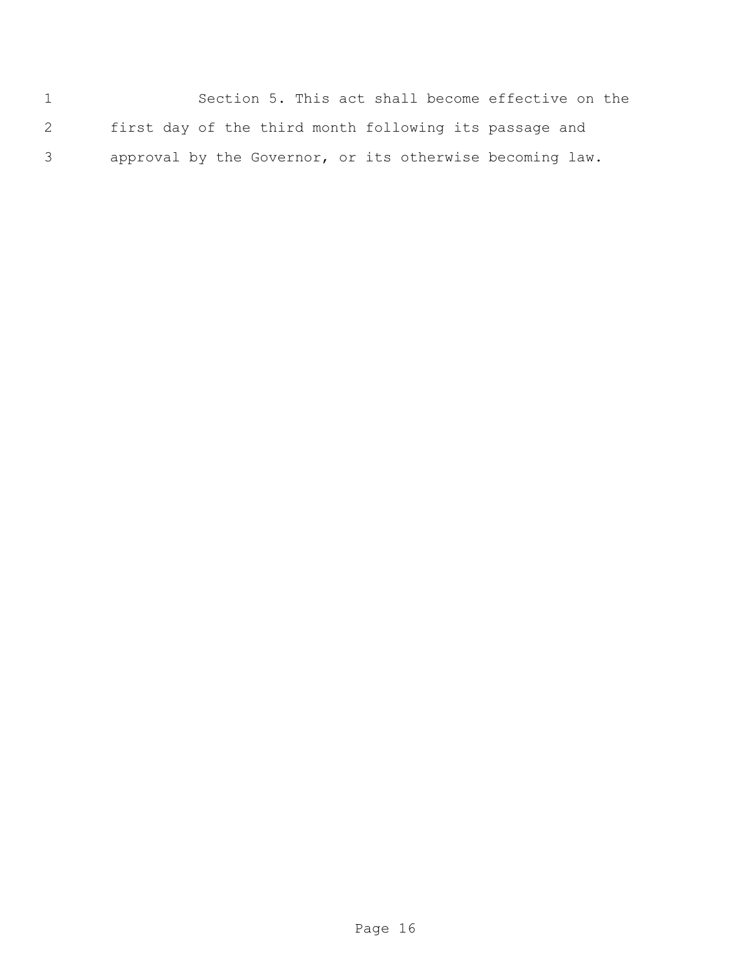Section 5. This act shall become effective on the first day of the third month following its passage and approval by the Governor, or its otherwise becoming law.